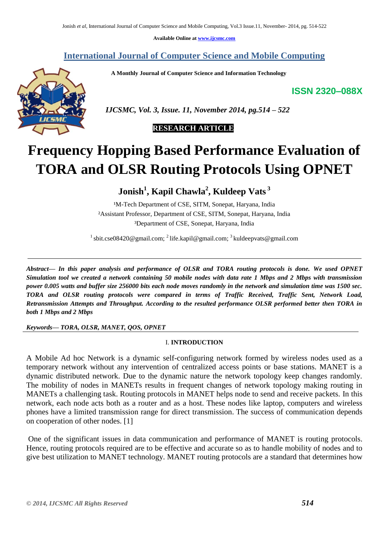**Available Online at www.ijcsmc.com**

**International Journal of Computer Science and Mobile Computing**

 **A Monthly Journal of Computer Science and Information Technology**

**ISSN 2320–088X**



 *IJCSMC, Vol. 3, Issue. 11, November 2014, pg.514 – 522*

## **RESEARCH ARTICLE**

# **Frequency Hopping Based Performance Evaluation of TORA and OLSR Routing Protocols Using OPNET**

**Jonish<sup>1</sup> , Kapil Chawla<sup>2</sup> , Kuldeep Vats <sup>3</sup>**

<sup>1</sup>M-Tech Department of CSE, SITM, Sonepat, Haryana, India ²Assistant Professor, Department of CSE, SITM, Sonepat, Haryana, India ³Department of CSE, Sonepat, Haryana, India

<sup>1</sup> sbit.cse08420@gmail.com; <sup>2</sup> life.kapil@gmail.com; <sup>3</sup> kuldeepvats@gmail.com

*Abstract— In this paper analysis and performance of OLSR and TORA routing protocols is done. We used OPNET Simulation tool we created a network containing 50 mobile nodes with data rate 1 Mbps and 2 Mbps with transmission power 0.005 watts and buffer size 256000 bits each node moves randomly in the network and simulation time was 1500 sec. TORA and OLSR routing protocols were compared in terms of Traffic Received, Traffic Sent, Network Load, Retransmission Attempts and Throughput. According to the resulted performance OLSR performed better then TORA in both 1 Mbps and 2 Mbps*

*Keywords— TORA, OLSR, MANET, QOS, OPNET*

## I. **INTRODUCTION**

A Mobile Ad hoc Network is a dynamic self-configuring network formed by wireless nodes used as a temporary network without any intervention of centralized access points or base stations. MANET is a dynamic distributed network. Due to the dynamic nature the network topology keep changes randomly. The mobility of nodes in MANETs results in frequent changes of network topology making routing in MANETs a challenging task. Routing protocols in MANET helps node to send and receive packets. In this network, each node acts both as a router and as a host. These nodes like laptop, computers and wireless phones have a limited transmission range for direct transmission. The success of communication depends on cooperation of other nodes. [1]

One of the significant issues in data communication and performance of MANET is routing protocols. Hence, routing protocols required are to be effective and accurate so as to handle mobility of nodes and to give best utilization to MANET technology. MANET routing protocols are a standard that determines how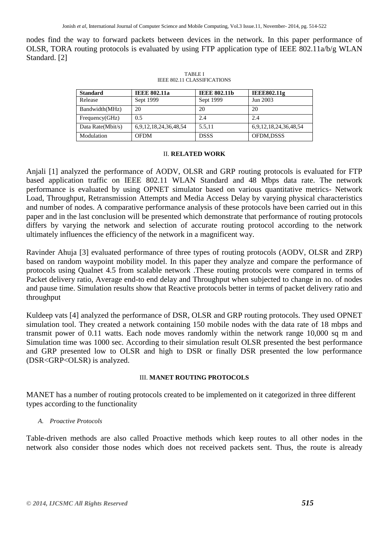nodes find the way to forward packets between devices in the network. In this paper performance of OLSR, TORA routing protocols is evaluated by using FTP application type of IEEE 802.11a/b/g WLAN Standard. [2]

| <b>Standard</b>   | <b>IEEE 802.11a</b>   | <b>IEEE 802.11b</b> | <b>IEEE802.11g</b>    |
|-------------------|-----------------------|---------------------|-----------------------|
| Release           | Sept 1999             | Sept 1999           | Jun 2003              |
| Bandwidth(MHz)    | 20                    | 20                  | 20                    |
| Frequency(GHz)    | 0.5                   | 2.4                 | 2.4                   |
| Data Rate(Mbit/s) | 6,9,12,18,24,36,48,54 | 5.5.11              | 6,9,12,18,24,36,48,54 |
| Modulation        | <b>OFDM</b>           | <b>DSSS</b>         | OFDM,DSSS             |

TABLE I IEEE 802.11 CLASSIFICATIONS

#### II. **RELATED WORK**

Anjali [1] analyzed the performance of AODV, OLSR and GRP routing protocols is evaluated for FTP based application traffic on IEEE 802.11 WLAN Standard and 48 Mbps data rate. The network performance is evaluated by using OPNET simulator based on various quantitative metrics- Network Load, Throughput, Retransmission Attempts and Media Access Delay by varying physical characteristics and number of nodes. A comparative performance analysis of these protocols have been carried out in this paper and in the last conclusion will be presented which demonstrate that performance of routing protocols differs by varying the network and selection of accurate routing protocol according to the network ultimately influences the efficiency of the network in a magnificent way.

Ravinder Ahuja [3] evaluated performance of three types of routing protocols (AODV, OLSR and ZRP) based on random waypoint mobility model. In this paper they analyze and compare the performance of protocols using Qualnet 4.5 from scalable network .These routing protocols were compared in terms of Packet delivery ratio, Average end-to end delay and Throughput when subjected to change in no. of nodes and pause time. Simulation results show that Reactive protocols better in terms of packet delivery ratio and throughput

Kuldeep vats [4] analyzed the performance of DSR, OLSR and GRP routing protocols. They used OPNET simulation tool. They created a network containing 150 mobile nodes with the data rate of 18 mbps and transmit power of 0.11 watts. Each node moves randomly within the network range 10,000 sq m and Simulation time was 1000 sec. According to their simulation result OLSR presented the best performance and GRP presented low to OLSR and high to DSR or finally DSR presented the low performance (DSR<GRP<OLSR) is analyzed.

## III. **MANET ROUTING PROTOCOLS**

MANET has a number of routing protocols created to be implemented on it categorized in three different types according to the functionality

## *A. Proactive Protocols*

Table-driven methods are also called Proactive methods which keep routes to all other nodes in the network also consider those nodes which does not received packets sent. Thus, the route is already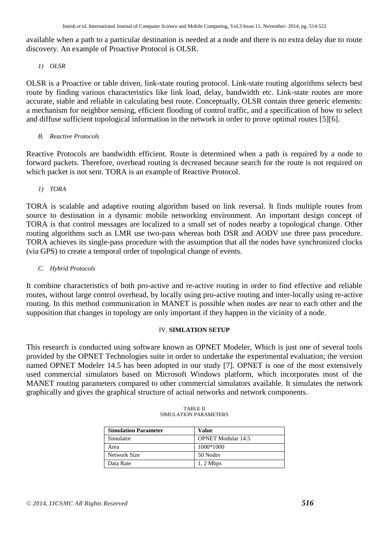available when a path to a particular destination is needed at a node and there is no extra delay due to route discovery. An example of Proactive Protocol is OLSR.

*1) OLSR*

OLSR is a Proactive or table driven, link-state routing protocol. Link-state routing algorithms selects best route by finding various characteristics like link load, delay, bandwidth etc. Link-state routes are more accurate, stable and reliable in calculating best route. Conceptually, OLSR contain three generic elements: a mechanism for neighbor sensing, efficient flooding of control traffic, and a specification of how to select and diffuse sufficient topological information in the network in order to prove optimal routes [5][6].

*B. Reactive Protocols*

Reactive Protocols are bandwidth efficient. Route is determined when a path is required by a node to forward packets. Therefore, overhead routing is decreased because search for the route is not required on which packet is not sent. TORA is an example of Reactive Protocol.

*1) TORA*

TORA is scalable and adaptive routing algorithm based on link reversal. It finds multiple routes from source to destination in a dynamic mobile networking environment. An important design concept of TORA is that control messages are localized to a small set of nodes nearby a topological change. Other routing algorithms such as LMR use two-pass whereas both DSR and AODV use three pass procedure. TORA achieves its single-pass procedure with the assumption that all the nodes have synchronized clocks (via GPS) to create a temporal order of topological change of events.

*C. Hybrid Protocols*

It combine characteristics of both pro-active and re-active routing in order to find effective and reliable routes, without large control overhead, by locally using pro-active routing and inter-locally using re-active routing. In this method communication in MANET is possible when nodes are near to each other and the supposition that changes in topology are only important if they happen in the vicinity of a node.

## IV. **SIMLATION SETUP**

This research is conducted using software known as OPNET Modeler, Which is just one of several tools provided by the OPNET Technologies suite in order to undertake the experimental evaluation; the version named OPNET Modeler 14.5 has been adopted in our study [7]. OPNET is one of the most extensively used commercial simulators based on Microsoft Windows platform, which incorporates most of the MANET routing parameters compared to other commercial simulators available. It simulates the network graphically and gives the graphical structure of actual networks and network components.

| <b>Simulation Parameter</b> | Value                     |
|-----------------------------|---------------------------|
| Simulator                   | <b>OPNET Modular 14.5</b> |
| Area                        | 1000*1000                 |
| Network Size                | 50 Nodes                  |
| Data Rate                   | $1, 2$ Mbps               |

| <b>TABLE II</b>       |
|-----------------------|
| SIMULATION PARAMETERS |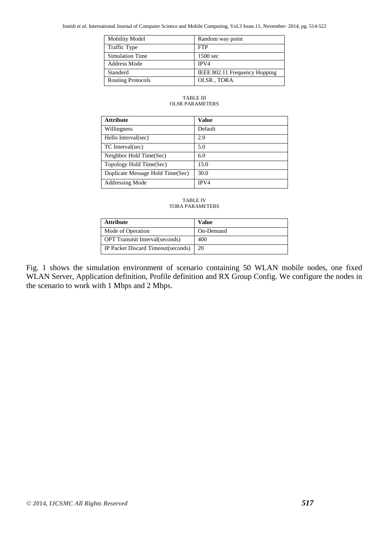| <b>Mobility Model</b>    | Random way point              |
|--------------------------|-------------------------------|
| <b>Traffic Type</b>      | <b>FTP</b>                    |
| <b>Simulation Time</b>   | 1500 sec                      |
| Address Mode             | IPV4                          |
| Standerd                 | IEEE 802.11 Frequency Hopping |
| <b>Routing Protocols</b> | OLSR, TORA                    |

#### TABLE III OLSR PARAMETERS

| <b>Attribute</b>                 | <b>Value</b> |
|----------------------------------|--------------|
| Willingness                      | Default      |
| Hello Interval(sec)              | 2.0          |
| TC Interval(sec)                 | 5.0          |
| Neighbor Hold Time(Sec)          | 6.0          |
| Topology Hold Time(Sec)          | 15.0         |
| Duplicate Message Hold Time(Sec) | 30.0         |
| Addressing Mode                  | IPV4         |

#### TABLE IV TORA PARAMETERS

| <b>Attribute</b>                       | Value     |
|----------------------------------------|-----------|
| Mode of Operation                      | On-Demand |
| <b>OPT</b> Transmit Interval (seconds) | 400       |
| IP Packet Discard Timeout(seconds)     | 20        |

Fig. 1 shows the simulation environment of scenario containing 50 WLAN mobile nodes, one fixed WLAN Server, Application definition, Profile definition and RX Group Config. We configure the nodes in the scenario to work with 1 Mbps and 2 Mbps.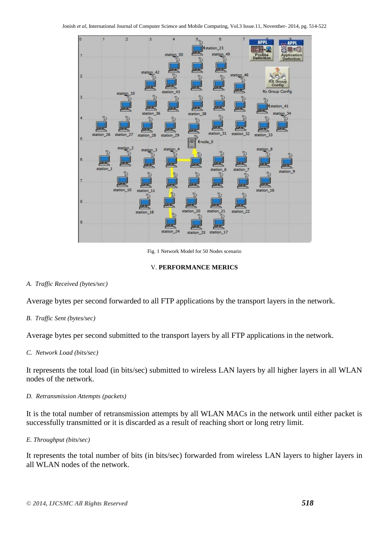

Fig. 1 Network Model for 50 Nodes scenario

#### V. **PERFORMANCE MERICS**

#### *A. Traffic Received (bytes/sec)*

Average bytes per second forwarded to all FTP applications by the transport layers in the network.

#### *B. Traffic Sent (bytes/sec)*

Average bytes per second submitted to the transport layers by all FTP applications in the network.

#### *C. Network Load (bits/sec)*

It represents the total load (in bits/sec) submitted to wireless LAN layers by all higher layers in all WLAN nodes of the network.

#### *D. Retransmission Attempts (packets)*

It is the total number of retransmission attempts by all WLAN MACs in the network until either packet is successfully transmitted or it is discarded as a result of reaching short or long retry limit.

#### *E. Throughput (bits/sec)*

It represents the total number of bits (in bits/sec) forwarded from wireless LAN layers to higher layers in all WLAN nodes of the network.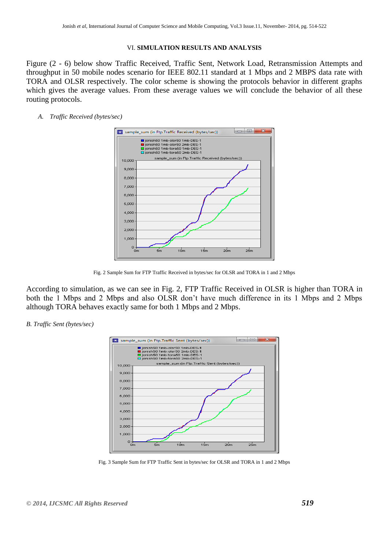#### VI. **SIMULATION RESULTS AND ANALYSIS**

Figure (2 - 6) below show Traffic Received, Traffic Sent, Network Load, Retransmission Attempts and throughput in 50 mobile nodes scenario for IEEE 802.11 standard at 1 Mbps and 2 MBPS data rate with TORA and OLSR respectively. The color scheme is showing the protocols behavior in different graphs which gives the average values. From these average values we will conclude the behavior of all these routing protocols.

#### *A. Traffic Received (bytes/sec)*



Fig. 2 Sample Sum for FTP Traffic Received in bytes/sec for OLSR and TORA in 1 and 2 Mbps

According to simulation, as we can see in Fig. 2, FTP Traffic Received in OLSR is higher than TORA in both the 1 Mbps and 2 Mbps and also OLSR don't have much difference in its 1 Mbps and 2 Mbps although TORA behaves exactly same for both 1 Mbps and 2 Mbps.





Fig. 3 Sample Sum for FTP Traffic Sent in bytes/sec for OLSR and TORA in 1 and 2 Mbps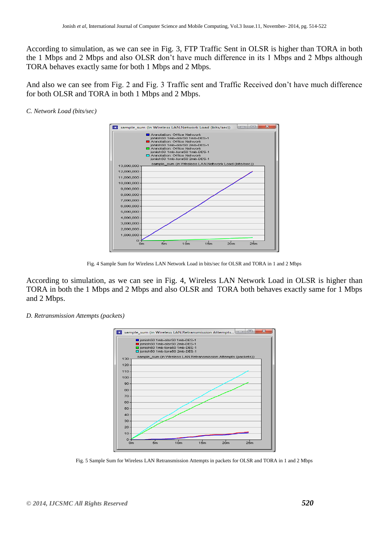According to simulation, as we can see in Fig. 3, FTP Traffic Sent in OLSR is higher than TORA in both the 1 Mbps and 2 Mbps and also OLSR don't have much difference in its 1 Mbps and 2 Mbps although TORA behaves exactly same for both 1 Mbps and 2 Mbps.

And also we can see from Fig. 2 and Fig. 3 Traffic sent and Traffic Received don't have much difference for both OLSR and TORA in both 1 Mbps and 2 Mbps.

#### *C. Network Load (bits/sec)*



Fig. 4 Sample Sum for Wireless LAN Network Load in bits/sec for OLSR and TORA in 1 and 2 Mbps

According to simulation, as we can see in Fig. 4, Wireless LAN Network Load in OLSR is higher than TORA in both the 1 Mbps and 2 Mbps and also OLSR and TORA both behaves exactly same for 1 Mbps and 2 Mbps.

#### *D. Retransmission Attempts (packets)*



Fig. 5 Sample Sum for Wireless LAN Retransmission Attempts in packets for OLSR and TORA in 1 and 2 Mbps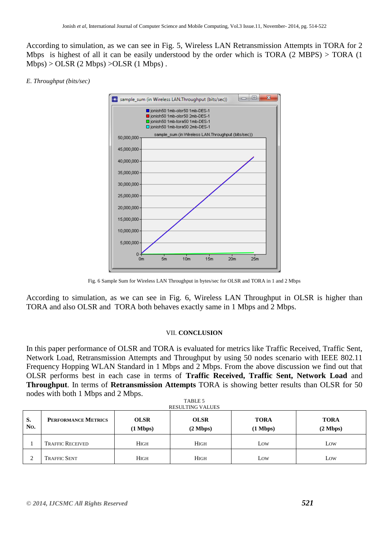According to simulation, as we can see in Fig. 5, Wireless LAN Retransmission Attempts in TORA for 2 Mbps is highest of all it can be easily understood by the order which is TORA  $(2 \text{ MBPS})$  > TORA  $(1 \text{ MBPS})$  $Mbps$  > OLSR (2 Mbps) > OLSR (1 Mbps).

#### *E. Throughput (bits/sec)*



Fig. 6 Sample Sum for Wireless LAN Throughput in bytes/sec for OLSR and TORA in 1 and 2 Mbps

According to simulation, as we can see in Fig. 6, Wireless LAN Throughput in OLSR is higher than TORA and also OLSR and TORA both behaves exactly same in 1 Mbps and 2 Mbps.

#### VII. **CONCLUSION**

In this paper performance of OLSR and TORA is evaluated for metrics like Traffic Received, Traffic Sent, Network Load, Retransmission Attempts and Throughput by using 50 nodes scenario with IEEE 802.11 Frequency Hopping WLAN Standard in 1 Mbps and 2 Mbps. From the above discussion we find out that OLSR performs best in each case in terms of **Traffic Received, Traffic Sent, Network Load** and **Throughput**. In terms of **Retransmission Attempts** TORA is showing better results than OLSR for 50 nodes with both 1 Mbps and 2 Mbps.

| TABLE 5<br><b>RESULTING VALUES</b> |                            |                                   |                                   |                                   |                                   |
|------------------------------------|----------------------------|-----------------------------------|-----------------------------------|-----------------------------------|-----------------------------------|
| S.<br>No.                          | <b>PERFORMANCE METRICS</b> | <b>OLSR</b><br>$(1 \text{ Mbps})$ | <b>OLSR</b><br>$(2 \text{ Mbps})$ | <b>TORA</b><br>$(1 \text{ Mbps})$ | <b>TORA</b><br>$(2 \text{ Mbps})$ |
|                                    | <b>TRAFFIC RECEIVED</b>    | <b>HIGH</b>                       | <b>HIGH</b>                       | Low                               | Low                               |
| $\bigcap$                          | <b>TRAFFIC SENT</b>        | <b>HIGH</b>                       | <b>HIGH</b>                       | Low                               | Low                               |